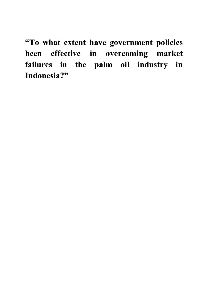**"To what extent have government policies been effective in overcoming market failures in the palm oil industry in Indonesia?"**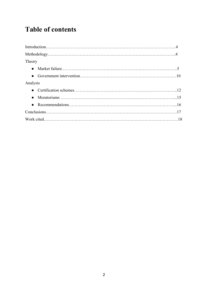## **Table of contents**

| Theory   |  |
|----------|--|
|          |  |
|          |  |
| Analysis |  |
|          |  |
|          |  |
|          |  |
|          |  |
|          |  |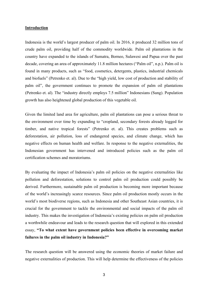## **Introduction**

Indonesia is the world's largest producer of palm oil. In 2016, it produced 32 million tons of crude palm oil, providing half of the commodity worldwide. Palm oil plantations in the country have expanded to the islands of Sumatra, Borneo, Sulawesi and Papua over the past decade, covering an area of approximately 11.8 million hectares ("Palm oil", n.p.). Palm oil is found in many products, such as "food, cosmetics, detergents, plastics, industrial chemicals and biofuels" (Petrenko et. al). Due to the "high yield, low cost of production and stability of palm oil", the government continues to promote the expansion of palm oil plantations (Petrenko et. al). The "industry directly employs 7.5 million" Indonesians (Sung). Population growth has also heightened global production of this vegetable oil.

Given the limited land area for agriculture, palm oil plantations can pose a serious threat to the environment over time by expanding to "cropland, secondary forests already logged for timber, and native tropical forests" (Petrenko et. al). This creates problems such as deforestation, air pollution, loss of endangered species, and climate change, which has negative effects on human health and welfare. In response to the negative externalities, the Indonesian government has intervened and introduced policies such as the palm oil certification schemes and moratoriums.

By evaluating the impact of Indonesia's palm oil policies on the negative externalities like pollution and deforestation, solutions to control palm oil production could possibly be derived. Furthermore, sustainable palm oil production is becoming more important because of the world's increasingly scarce resources. Since palm oil production mostly occurs in the world's most biodiverse regions, such as Indonesia and other Southeast Asian countries, it is crucial for the government to tackle the environmental and social impacts of the palm oil industry. This makes the investigation of Indonesia's existing policies on palm oil production a worthwhile endeavour and leads to the research question that will explored in this extended essay, **"To what extent have government policies been effective in overcoming market failures in the palm oil industry in Indonesia?"** 

The research question will be answered using the economic theories of market failure and negative externalities of production. This will help determine the effectiveness of the policies